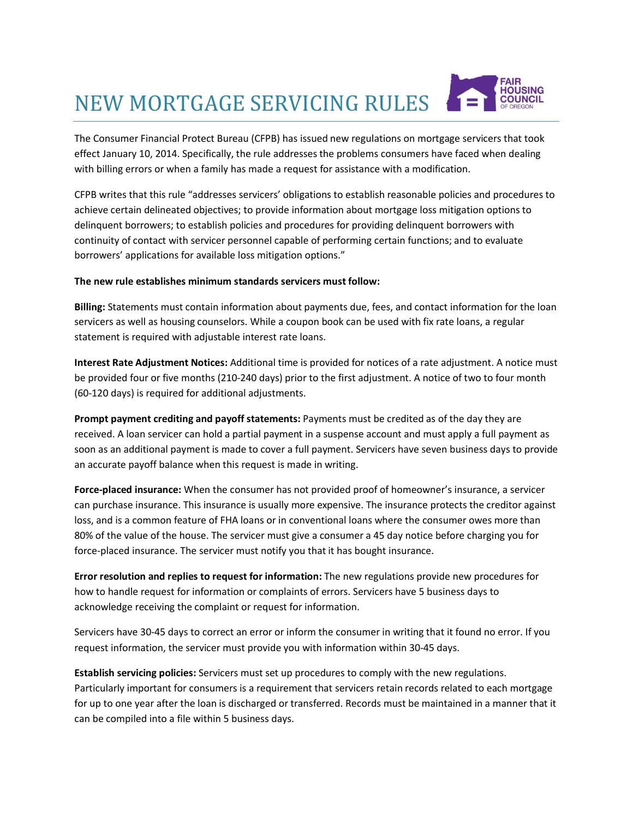## NEW MORTGAGE SERVICING RULES



The Consumer Financial Protect Bureau (CFPB) has issued new regulations on mortgage servicers that took effect January 10, 2014. Specifically, the rule addresses the problems consumers have faced when dealing with billing errors or when a family has made a request for assistance with a modification.

CFPB writes that this rule "addresses servicers' obligations to establish reasonable policies and procedures to achieve certain delineated objectives; to provide information about mortgage loss mitigation options to delinquent borrowers; to establish policies and procedures for providing delinquent borrowers with continuity of contact with servicer personnel capable of performing certain functions; and to evaluate borrowers' applications for available loss mitigation options."

## **The new rule establishes minimum standards servicers must follow:**

**Billing:** Statements must contain information about payments due, fees, and contact information for the loan servicers as well as housing counselors. While a coupon book can be used with fix rate loans, a regular statement is required with adjustable interest rate loans.

**Interest Rate Adjustment Notices:** Additional time is provided for notices of a rate adjustment. A notice must be provided four or five months (210-240 days) prior to the first adjustment. A notice of two to four month (60-120 days) is required for additional adjustments.

**Prompt payment crediting and payoff statements:** Payments must be credited as of the day they are received. A loan servicer can hold a partial payment in a suspense account and must apply a full payment as soon as an additional payment is made to cover a full payment. Servicers have seven business days to provide an accurate payoff balance when this request is made in writing.

**Force-placed insurance:** When the consumer has not provided proof of homeowner's insurance, a servicer can purchase insurance. This insurance is usually more expensive. The insurance protects the creditor against loss, and is a common feature of FHA loans or in conventional loans where the consumer owes more than 80% of the value of the house. The servicer must give a consumer a 45 day notice before charging you for force-placed insurance. The servicer must notify you that it has bought insurance.

**Error resolution and replies to request for information:** The new regulations provide new procedures for how to handle request for information or complaints of errors. Servicers have 5 business days to acknowledge receiving the complaint or request for information.

Servicers have 30-45 days to correct an error or inform the consumer in writing that it found no error. If you request information, the servicer must provide you with information within 30-45 days.

**Establish servicing policies:** Servicers must set up procedures to comply with the new regulations. Particularly important for consumers is a requirement that servicers retain records related to each mortgage for up to one year after the loan is discharged or transferred. Records must be maintained in a manner that it can be compiled into a file within 5 business days.